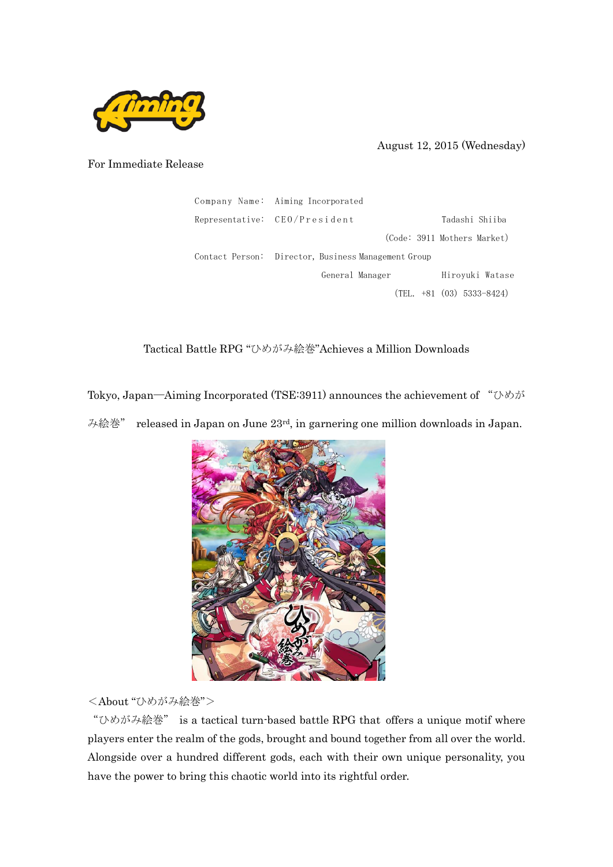

August 12, 2015 (Wednesday)

For Immediate Release

| Company Name: Aiming Incorporated                   |  |  |
|-----------------------------------------------------|--|--|
| Representative: CEO/President<br>Tadashi Shiiba     |  |  |
| (Code: 3911 Mothers Market)                         |  |  |
| Contact Person: Director, Business Management Group |  |  |
| Hiroyuki Watase<br>General Manager                  |  |  |
| $(TEL. +81 (03) 5333-8424)$                         |  |  |

Tactical Battle RPG "ひめがみ絵巻"Achieves a Million Downloads

Tokyo, Japan―Aiming Incorporated (TSE:3911) announces the achievement of "ひめが み絵巻" released in Japan on June 23rd, in garnering one million downloads in Japan.



<About "ひめがみ絵巻">

"ひめがみ絵巻" is a tactical turn-based battle RPG that offers a unique motif where players enter the realm of the gods, brought and bound together from all over the world. Alongside over a hundred different gods, each with their own unique personality, you have the power to bring this chaotic world into its rightful order.